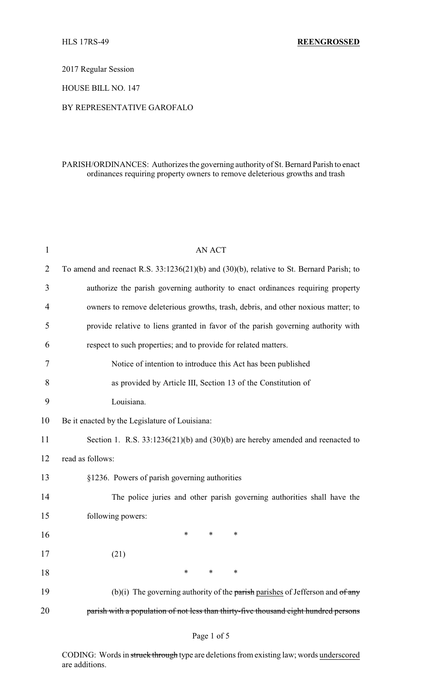2017 Regular Session

HOUSE BILL NO. 147

## BY REPRESENTATIVE GAROFALO

## PARISH/ORDINANCES: Authorizes the governing authority of St. Bernard Parish to enact ordinances requiring property owners to remove deleterious growths and trash

| 1              | <b>AN ACT</b>                                                                            |  |  |
|----------------|------------------------------------------------------------------------------------------|--|--|
| $\overline{2}$ | To amend and reenact R.S. 33:1236(21)(b) and (30)(b), relative to St. Bernard Parish; to |  |  |
| 3              | authorize the parish governing authority to enact ordinances requiring property          |  |  |
| 4              | owners to remove deleterious growths, trash, debris, and other noxious matter; to        |  |  |
| 5              | provide relative to liens granted in favor of the parish governing authority with        |  |  |
| 6              | respect to such properties; and to provide for related matters.                          |  |  |
| 7              | Notice of intention to introduce this Act has been published                             |  |  |
| 8              | as provided by Article III, Section 13 of the Constitution of                            |  |  |
| 9              | Louisiana.                                                                               |  |  |
| 10             | Be it enacted by the Legislature of Louisiana:                                           |  |  |
| 11             | Section 1. R.S. $33:1236(21)(b)$ and $(30)(b)$ are hereby amended and reenacted to       |  |  |
| 12             | read as follows:                                                                         |  |  |
| 13             | §1236. Powers of parish governing authorities                                            |  |  |
| 14             | The police juries and other parish governing authorities shall have the                  |  |  |
| 15             | following powers:                                                                        |  |  |
| 16             | *<br>∗<br>*                                                                              |  |  |
| 17             | (21)                                                                                     |  |  |
| 18             | $\ast$<br>$\ast$<br>∗                                                                    |  |  |
| 19             | (b)(i) The governing authority of the parish parishes of Jefferson and $of$ any          |  |  |
| 20             | parish with a population of not less than thirty-five thousand eight hundred persons     |  |  |

CODING: Words in struck through type are deletions from existing law; words underscored are additions.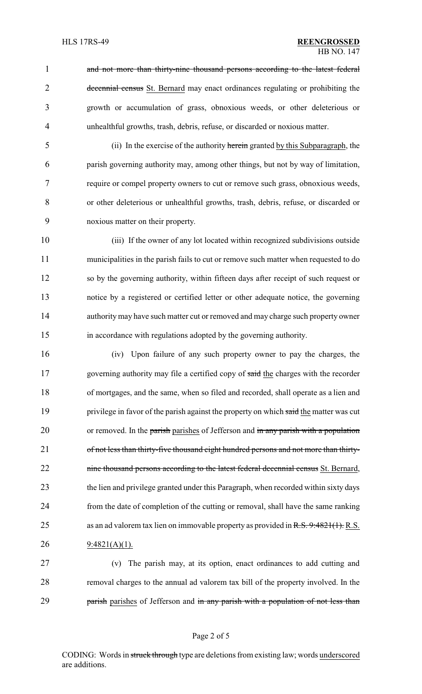1 and not more than thirty-nine thousand persons according to the latest federal 2 decennial census St. Bernard may enact ordinances regulating or prohibiting the 3 growth or accumulation of grass, obnoxious weeds, or other deleterious or 4 unhealthful growths, trash, debris, refuse, or discarded or noxious matter.

 (ii) In the exercise of the authority herein granted by this Subparagraph, the parish governing authority may, among other things, but not by way of limitation, require or compel property owners to cut or remove such grass, obnoxious weeds, or other deleterious or unhealthful growths, trash, debris, refuse, or discarded or noxious matter on their property.

 (iii) If the owner of any lot located within recognized subdivisions outside municipalities in the parish fails to cut or remove such matter when requested to do so by the governing authority, within fifteen days after receipt of such request or notice by a registered or certified letter or other adequate notice, the governing authority may have such matter cut or removed and may charge such property owner in accordance with regulations adopted by the governing authority.

16 (iv) Upon failure of any such property owner to pay the charges, the 17 governing authority may file a certified copy of said the charges with the recorder 18 of mortgages, and the same, when so filed and recorded, shall operate as a lien and 19 privilege in favor of the parish against the property on which said the matter was cut 20 or removed. In the parish parishes of Jefferson and in any parish with a population 21 of not less than thirty-five thousand eight hundred persons and not more than thirty-22 nine thousand persons according to the latest federal decennial census St. Bernard, 23 the lien and privilege granted under this Paragraph, when recorded within sixty days 24 from the date of completion of the cutting or removal, shall have the same ranking 25 as an ad valorem tax lien on immovable property as provided in R.S. 9:4821(1). R.S. 26 9:4821(A)(1).

27 (v) The parish may, at its option, enact ordinances to add cutting and 28 removal charges to the annual ad valorem tax bill of the property involved. In the 29 **parish parishes of Jefferson and in any parish with a population of not less than** 

CODING: Words in struck through type are deletions from existing law; words underscored are additions.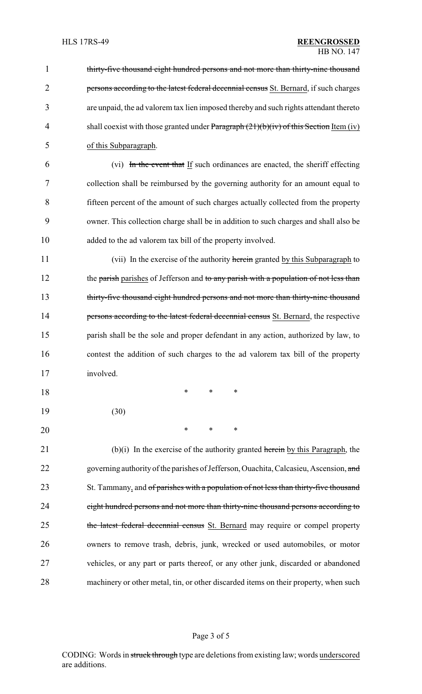| $\mathbf{1}$   | thirty-five thousand eight hundred persons and not more than thirty-nine thousand        |
|----------------|------------------------------------------------------------------------------------------|
| $\overline{2}$ | persons according to the latest federal decennial census St. Bernard, if such charges    |
| 3              | are unpaid, the ad valorem tax lien imposed thereby and such rights attendant thereto    |
| 4              | shall coexist with those granted under Paragraph $(21)(b)(iv)$ of this Section Item (iv) |
| 5              | of this Subparagraph.                                                                    |
| 6              | (vi) In the event that If such ordinances are enacted, the sheriff effecting             |
| 7              | collection shall be reimbursed by the governing authority for an amount equal to         |
| 8              | fifteen percent of the amount of such charges actually collected from the property       |
| 9              | owner. This collection charge shall be in addition to such charges and shall also be     |
| 10             | added to the ad valorem tax bill of the property involved.                               |
| 11             | (vii) In the exercise of the authority herein granted by this Subparagraph to            |
| 12             | the parish parishes of Jefferson and to any parish with a population of not less than    |
| 13             | thirty-five thousand eight hundred persons and not more than thirty-nine thousand        |
| 14             | persons according to the latest federal decennial census St. Bernard, the respective     |
| 15             | parish shall be the sole and proper defendant in any action, authorized by law, to       |
| 16             | contest the addition of such charges to the ad valorem tax bill of the property          |
| 17             | involved.                                                                                |
| 18             | $\ast$<br>∗<br>∗                                                                         |
| 19             | (30)                                                                                     |
| 20             | ∗<br>*<br>∗                                                                              |
| 21             | $(b)(i)$ In the exercise of the authority granted herein by this Paragraph, the          |
| 22             | governing authority of the parishes of Jefferson, Ouachita, Calcasieu, Ascension, and    |
| 23             | St. Tammany, and of parishes with a population of not less than thirty-five thousand     |
| 24             | eight hundred persons and not more than thirty-nine thousand persons according to        |
| 25             | the latest federal decennial census St. Bernard may require or compel property           |
| 26             | owners to remove trash, debris, junk, wrecked or used automobiles, or motor              |
| 27             | vehicles, or any part or parts thereof, or any other junk, discarded or abandoned        |
| 28             | machinery or other metal, tin, or other discarded items on their property, when such     |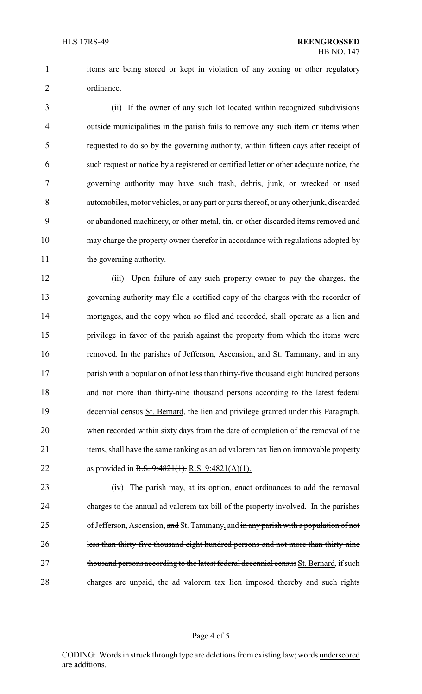1 items are being stored or kept in violation of any zoning or other regulatory ordinance.

 (ii) If the owner of any such lot located within recognized subdivisions outside municipalities in the parish fails to remove any such item or items when requested to do so by the governing authority, within fifteen days after receipt of such request or notice by a registered or certified letter or other adequate notice, the governing authority may have such trash, debris, junk, or wrecked or used automobiles, motor vehicles, or any part or parts thereof, or any other junk, discarded or abandoned machinery, or other metal, tin, or other discarded items removed and may charge the property owner therefor in accordance with regulations adopted by 11 the governing authority.

 (iii) Upon failure of any such property owner to pay the charges, the governing authority may file a certified copy of the charges with the recorder of mortgages, and the copy when so filed and recorded, shall operate as a lien and privilege in favor of the parish against the property from which the items were 16 removed. In the parishes of Jefferson, Ascension, and St. Tammany, and in any **parish with a population of not less than thirty-five thousand eight hundred persons** 18 and not more than thirty-nine thousand persons according to the latest federal 19 decennial census St. Bernard, the lien and privilege granted under this Paragraph, when recorded within sixty days from the date of completion of the removal of the items, shall have the same ranking as an ad valorem tax lien on immovable property 22 as provided in R.S. 9:4821(1). R.S. 9:4821(A)(1).

 (iv) The parish may, at its option, enact ordinances to add the removal charges to the annual ad valorem tax bill of the property involved. In the parishes of Jefferson, Ascension, and St. Tammany, and in any parish with a population of not less than thirty-five thousand eight hundred persons and not more than thirty-nine 27 thousand persons according to the latest federal decennial census St. Bernard, if such charges are unpaid, the ad valorem tax lien imposed thereby and such rights